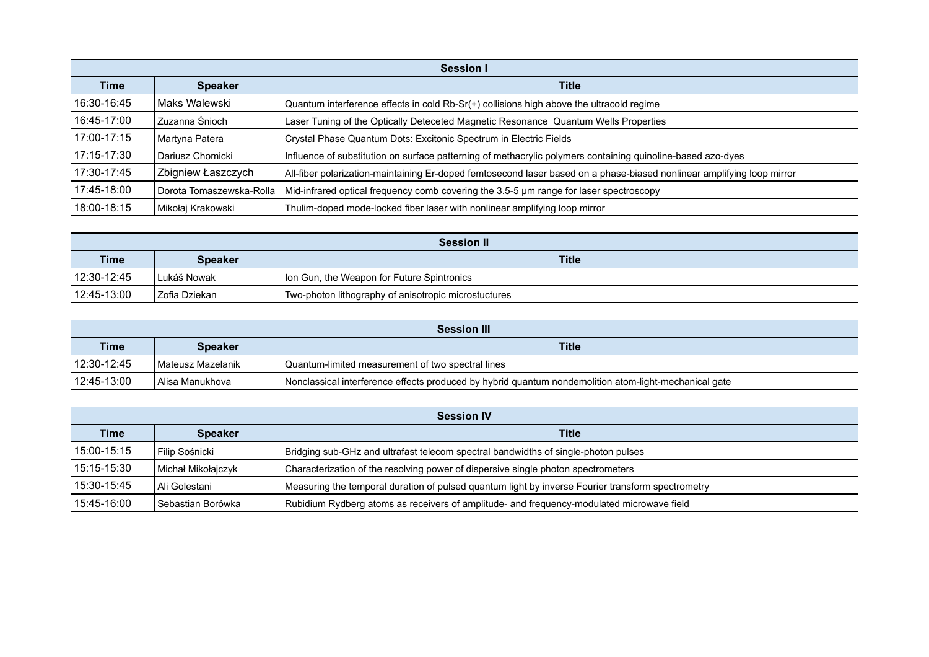| Session I   |                          |                                                                                                                        |
|-------------|--------------------------|------------------------------------------------------------------------------------------------------------------------|
| <b>Time</b> | <b>Speaker</b>           | <b>Title</b>                                                                                                           |
| 16:30-16:45 | Maks Walewski            | Quantum interference effects in cold Rb-Sr(+) collisions high above the ultracold regime                               |
| 16:45-17:00 | Zuzanna Śnioch           | Laser Tuning of the Optically Deteceted Magnetic Resonance Quantum Wells Properties                                    |
| 17:00-17:15 | Martyna Patera           | Crystal Phase Quantum Dots: Excitonic Spectrum in Electric Fields                                                      |
| 17:15-17:30 | Dariusz Chomicki         | Influence of substitution on surface patterning of methacrylic polymers containing quinoline-based azo-dyes            |
| 17:30-17:45 | Zbigniew Łaszczych       | All-fiber polarization-maintaining Er-doped femtosecond laser based on a phase-biased nonlinear amplifying loop mirror |
| 17:45-18:00 | Dorota Tomaszewska-Rolla | Mid-infrared optical frequency comb covering the 3.5-5 µm range for laser spectroscopy                                 |
| 18:00-18:15 | Mikołaj Krakowski        | Thulim-doped mode-locked fiber laser with nonlinear amplifying loop mirror                                             |

| <b>Session II</b> |                |                                                      |
|-------------------|----------------|------------------------------------------------------|
| <b>Time</b>       | <b>Speaker</b> | <b>Title</b>                                         |
| $112:30-12:45$    | l Lukáš Nowak  | Ion Gun, the Weapon for Future Spintronics           |
| 12:45-13:00       | Zofia Dziekan  | Two-photon lithography of anisotropic microstuctures |

| <b>Session III</b> |                     |                                                                                                       |
|--------------------|---------------------|-------------------------------------------------------------------------------------------------------|
| <b>Time</b>        | <b>Speaker</b>      | <b>Title</b>                                                                                          |
| $112:30-12:45$     | l Mateusz Mazelanik | Quantum-limited measurement of two spectral lines                                                     |
| $112:45-13:00$     | l Alisa Manukhova   | Nonclassical interference effects produced by hybrid quantum nondemolition atom-light-mechanical gate |

| <b>Session IV</b> |                     |                                                                                                   |
|-------------------|---------------------|---------------------------------------------------------------------------------------------------|
| <b>Time</b>       | <b>Speaker</b>      | <b>Title</b>                                                                                      |
| 15:00-15:15       | Filip Sośnicki      | Bridging sub-GHz and ultrafast telecom spectral bandwidths of single-photon pulses                |
| 15:15-15:30       | Michał Mikołajczyk  | Characterization of the resolving power of dispersive single photon spectrometers                 |
| 15:30-15:45       | Ali Golestani       | Measuring the temporal duration of pulsed quantum light by inverse Fourier transform spectrometry |
| 15:45-16:00       | l Sebastian Borówka | Rubidium Rydberg atoms as receivers of amplitude- and frequency-modulated microwave field         |